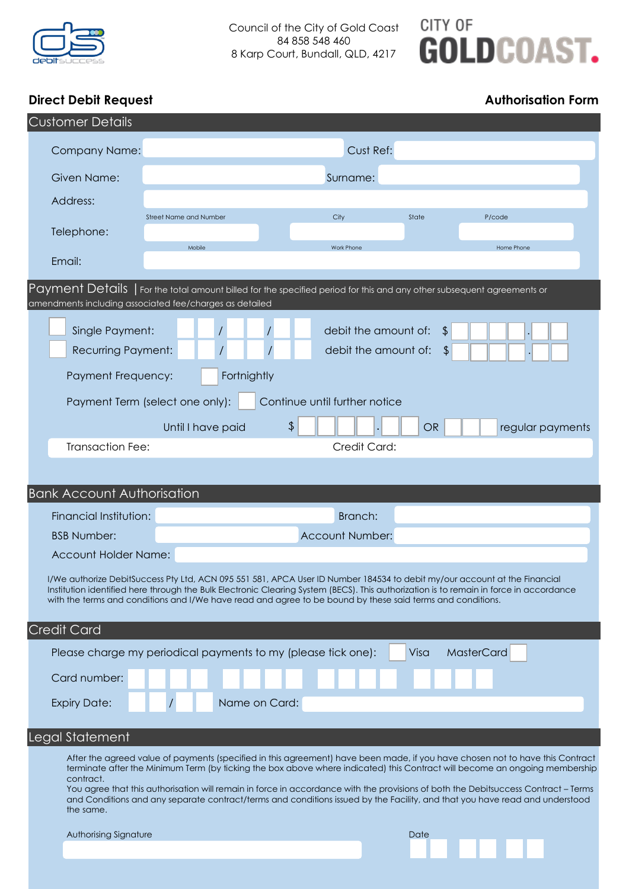

## CITY OF **GOLDCOAST.**

### **Direct Debit Request Authorisation Form**

| <b>Customer Details</b>                                                                                                                                                                                                                                                                                                                                                           |                                                               |                                                                                                                                                                                                                                                                                                                                                                                                                                                                                                                                   |           |                   |
|-----------------------------------------------------------------------------------------------------------------------------------------------------------------------------------------------------------------------------------------------------------------------------------------------------------------------------------------------------------------------------------|---------------------------------------------------------------|-----------------------------------------------------------------------------------------------------------------------------------------------------------------------------------------------------------------------------------------------------------------------------------------------------------------------------------------------------------------------------------------------------------------------------------------------------------------------------------------------------------------------------------|-----------|-------------------|
| <b>Company Name:</b>                                                                                                                                                                                                                                                                                                                                                              | Cust Ref:                                                     |                                                                                                                                                                                                                                                                                                                                                                                                                                                                                                                                   |           |                   |
| Given Name:                                                                                                                                                                                                                                                                                                                                                                       | Surname:                                                      |                                                                                                                                                                                                                                                                                                                                                                                                                                                                                                                                   |           |                   |
| Address:                                                                                                                                                                                                                                                                                                                                                                          |                                                               |                                                                                                                                                                                                                                                                                                                                                                                                                                                                                                                                   |           |                   |
|                                                                                                                                                                                                                                                                                                                                                                                   | <b>Street Name and Number</b>                                 | City                                                                                                                                                                                                                                                                                                                                                                                                                                                                                                                              | State     | P/code            |
| Telephone:                                                                                                                                                                                                                                                                                                                                                                        | Mobile                                                        | Work Phone                                                                                                                                                                                                                                                                                                                                                                                                                                                                                                                        |           | Home Phone        |
| Email:                                                                                                                                                                                                                                                                                                                                                                            |                                                               |                                                                                                                                                                                                                                                                                                                                                                                                                                                                                                                                   |           |                   |
|                                                                                                                                                                                                                                                                                                                                                                                   | amendments including associated fee/charges as detailed       | Payment Details   For the total amount billed for the specified period for this and any other subsequent agreements or                                                                                                                                                                                                                                                                                                                                                                                                            |           |                   |
| Single Payment:                                                                                                                                                                                                                                                                                                                                                                   |                                                               | debit the amount of:                                                                                                                                                                                                                                                                                                                                                                                                                                                                                                              | \$        |                   |
| <b>Recurring Payment:</b>                                                                                                                                                                                                                                                                                                                                                         |                                                               | debit the amount of:                                                                                                                                                                                                                                                                                                                                                                                                                                                                                                              | \$        |                   |
| Payment Frequency:                                                                                                                                                                                                                                                                                                                                                                | Fortnightly                                                   |                                                                                                                                                                                                                                                                                                                                                                                                                                                                                                                                   |           |                   |
| Payment Term (select one only):<br>Continue until further notice                                                                                                                                                                                                                                                                                                                  |                                                               |                                                                                                                                                                                                                                                                                                                                                                                                                                                                                                                                   |           |                   |
|                                                                                                                                                                                                                                                                                                                                                                                   | Until I have paid                                             | \$                                                                                                                                                                                                                                                                                                                                                                                                                                                                                                                                | <b>OR</b> | regular payments  |
| <b>Transaction Fee:</b>                                                                                                                                                                                                                                                                                                                                                           |                                                               | Credit Card:                                                                                                                                                                                                                                                                                                                                                                                                                                                                                                                      |           |                   |
|                                                                                                                                                                                                                                                                                                                                                                                   |                                                               |                                                                                                                                                                                                                                                                                                                                                                                                                                                                                                                                   |           |                   |
| <b>Bank Account Authorisation</b>                                                                                                                                                                                                                                                                                                                                                 |                                                               |                                                                                                                                                                                                                                                                                                                                                                                                                                                                                                                                   |           |                   |
| Financial Institution:                                                                                                                                                                                                                                                                                                                                                            |                                                               | Branch:                                                                                                                                                                                                                                                                                                                                                                                                                                                                                                                           |           |                   |
| <b>BSB Number:</b>                                                                                                                                                                                                                                                                                                                                                                |                                                               | <b>Account Number:</b>                                                                                                                                                                                                                                                                                                                                                                                                                                                                                                            |           |                   |
| <b>Account Holder Name:</b>                                                                                                                                                                                                                                                                                                                                                       |                                                               |                                                                                                                                                                                                                                                                                                                                                                                                                                                                                                                                   |           |                   |
| I/We authorize DebitSuccess Pty Ltd, ACN 095 551 581, APCA User ID Number 184534 to debit my/our account at the Financial<br>Institution identified here through the Bulk Electronic Clearing System (BECS). This authorization is to remain in force in accordance<br>with the terms and conditions and I/We have read and agree to be bound by these said terms and conditions. |                                                               |                                                                                                                                                                                                                                                                                                                                                                                                                                                                                                                                   |           |                   |
| <b>Credit Card</b>                                                                                                                                                                                                                                                                                                                                                                |                                                               |                                                                                                                                                                                                                                                                                                                                                                                                                                                                                                                                   |           |                   |
|                                                                                                                                                                                                                                                                                                                                                                                   | Please charge my periodical payments to my (please tick one): |                                                                                                                                                                                                                                                                                                                                                                                                                                                                                                                                   | Visa      | <b>MasterCard</b> |
| Card number:                                                                                                                                                                                                                                                                                                                                                                      |                                                               |                                                                                                                                                                                                                                                                                                                                                                                                                                                                                                                                   |           |                   |
| <b>Expiry Date:</b>                                                                                                                                                                                                                                                                                                                                                               | Name on Card:                                                 |                                                                                                                                                                                                                                                                                                                                                                                                                                                                                                                                   |           |                   |
| Legal Statement                                                                                                                                                                                                                                                                                                                                                                   |                                                               |                                                                                                                                                                                                                                                                                                                                                                                                                                                                                                                                   |           |                   |
| contract.<br>the same.                                                                                                                                                                                                                                                                                                                                                            |                                                               | After the agreed value of payments (specified in this agreement) have been made, if you have chosen not to have this Contract<br>terminate after the Minimum Term (by ticking the box above where indicated) this Contract will become an ongoing membership<br>You agree that this authorisation will remain in force in accordance with the provisions of both the Debitsuccess Contract - Terms<br>and Conditions and any separate contract/terms and conditions issued by the Facility, and that you have read and understood |           |                   |
| Authorising Signature                                                                                                                                                                                                                                                                                                                                                             |                                                               |                                                                                                                                                                                                                                                                                                                                                                                                                                                                                                                                   | Date      |                   |